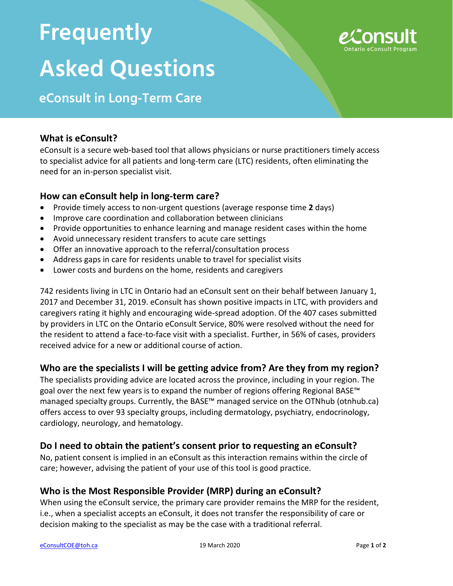# **Frequently Asked Questions**



# **eConsult in Long-Term Care**

#### **What is eConsult?**

eConsult is a secure web-based tool that allows physicians or nurse practitioners timely access to specialist advice for all patients and long-term care (LTC) residents, often eliminating the need for an in-person specialist visit.

#### **How can eConsult help in long-term care?**

- Provide timely access to non-urgent questions (average response time **2** days)
- Improve care coordination and collaboration between clinicians
- Provide opportunities to enhance learning and manage resident cases within the home
- Avoid unnecessary resident transfers to acute care settings
- Offer an innovative approach to the referral/consultation process
- Address gaps in care for residents unable to travel for specialist visits
- Lower costs and burdens on the home, residents and caregivers

742 residents living in LTC in Ontario had an eConsult sent on their behalf between January 1, 2017 and December 31, 2019. eConsult has shown positive impacts in LTC, with providers and caregivers rating it highly and encouraging wide-spread adoption. Of the 407 cases submitted by providers in LTC on the Ontario eConsult Service, 80% were resolved without the need for the resident to attend a face-to-face visit with a specialist. Further, in 56% of cases, providers received advice for a new or additional course of action.

# **Who are the specialists I will be getting advice from? Are they from my region?**

The specialists providing advice are located across the province, including in your region. The goal over the next few years is to expand the number of regions offering Regional BASE™ managed specialty groups. Currently, the BASE™ managed service on the OTNhub (otnhub.ca) offers access to over 93 specialty groups, including dermatology, psychiatry, endocrinology, cardiology, neurology, and hematology.

# **Do I need to obtain the patient's consent prior to requesting an eConsult?**

No, patient consent is implied in an eConsult as this interaction remains within the circle of care; however, advising the patient of your use of this tool is good practice.

# **Who is the Most Responsible Provider (MRP) during an eConsult?**

When using the eConsult service, the primary care provider remains the MRP for the resident, i.e., when a specialist accepts an eConsult, it does not transfer the responsibility of care or decision making to the specialist as may be the case with a traditional referral.